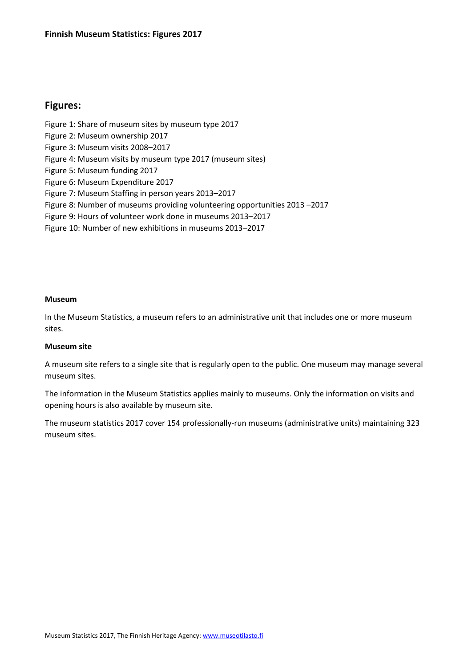## **Figures:**

Figure 1: Share of museum sites by museum type 2017 Figure 2: Museum ownership 2017 Figure 3: Museum visits 2008–2017 Figure 4: Museum visits by museum type 2017 (museum sites) Figure 5: Museum funding 2017 Figure 6: Museum Expenditure 2017 Figure 7: Museum Staffing in person years 2013–2017 Figure 8: Number of museums providing volunteering opportunities 2013 –2017 Figure 9: Hours of volunteer work done in museums 2013–2017 Figure 10: Number of new exhibitions in museums 2013–2017

## **Museum**

In the Museum Statistics, a museum refers to an administrative unit that includes one or more museum sites.

## **Museum site**

A museum site refers to a single site that is regularly open to the public. One museum may manage several museum sites.

The information in the Museum Statistics applies mainly to museums. Only the information on visits and opening hours is also available by museum site.

The museum statistics 2017 cover 154 professionally-run museums (administrative units) maintaining 323 museum sites.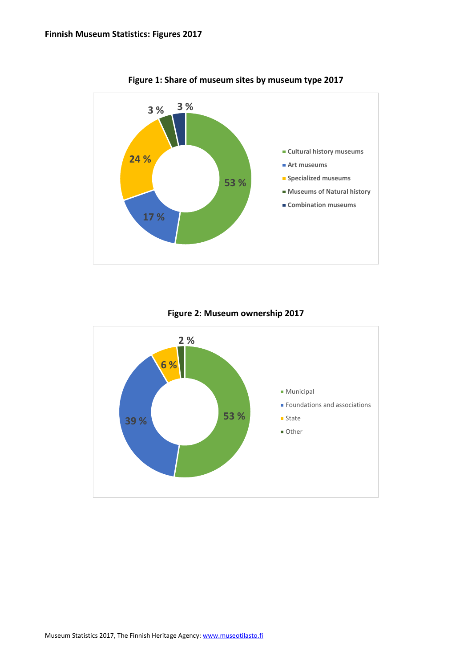

**Figure 1: Share of museum sites by museum type 2017**

**Figure 2: Museum ownership 2017**

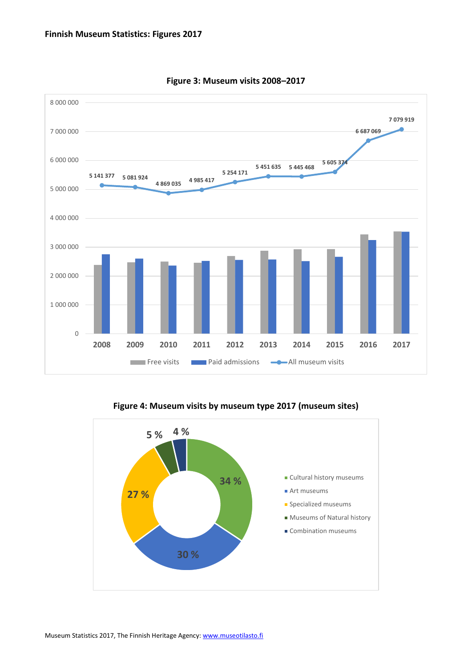

**Figure 3: Museum visits 2008–2017**

**Figure 4: Museum visits by museum type 2017 (museum sites)**

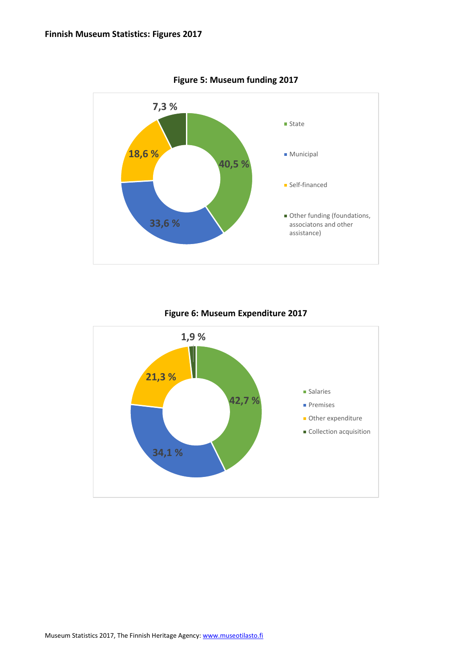

**Figure 5: Museum funding 2017**

**Figure 6: Museum Expenditure 2017**

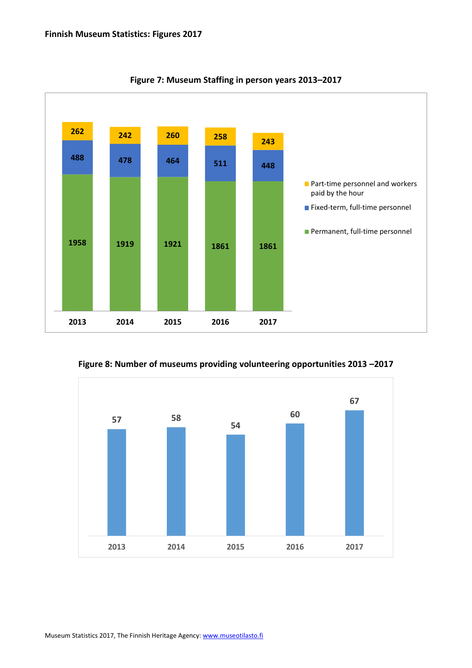

**Figure 7: Museum Staffing in person years 2013–2017**

**Figure 8: Number of museums providing volunteering opportunities 2013 –2017**